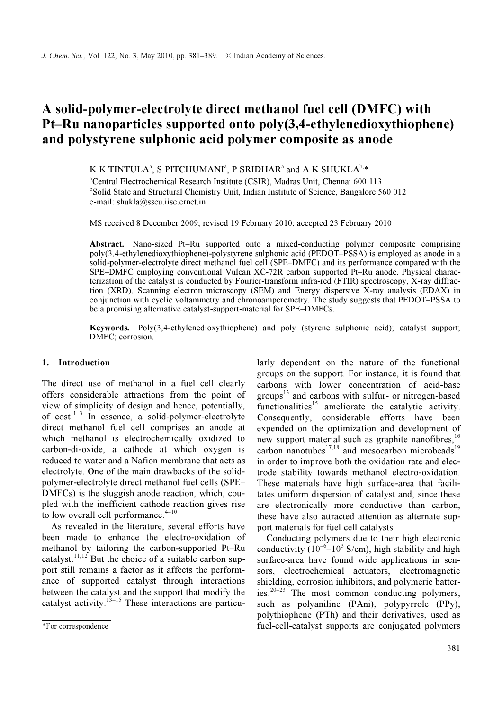# A solid-polymer-electrolyte direct methanol fuel cell (DMFC) with Pt–Ru nanoparticles supported onto poly(3,4-ethylenedioxythiophene) and polystyrene sulphonic acid polymer composite as anode

K K TINTULA<sup>a</sup>, S PITCHUMANI<sup>a</sup>, P SRIDHAR<sup>a</sup> and A K SHUKLA<sup>b,\*</sup>

a Central Electrochemical Research Institute (CSIR), Madras Unit, Chennai 600 113 <sup>b</sup>Solid State and Structural Chemistry Unit, Indian Institute of Science, Bangalore 560 012 e-mail: shukla@sscu.iisc.ernet.in

MS received 8 December 2009; revised 19 February 2010; accepted 23 February 2010

Abstract. Nano-sized Pt–Ru supported onto a mixed-conducting polymer composite comprising poly(3,4-ethylenedioxythiophene)-polystyrene sulphonic acid (PEDOT–PSSA) is employed as anode in a solid-polymer-electrolyte direct methanol fuel cell (SPE–DMFC) and its performance compared with the SPE–DMFC employing conventional Vulcan XC-72R carbon supported Pt–Ru anode. Physical characterization of the catalyst is conducted by Fourier-transform infra-red (FTIR) spectroscopy, X-ray diffraction (XRD), Scanning electron microscopy (SEM) and Energy dispersive X-ray analysis (EDAX) in conjunction with cyclic voltammetry and chronoamperometry. The study suggests that PEDOT–PSSA to be a promising alternative catalyst-support-material for SPE–DMFCs.

Keywords. Poly(3,4-ethylenedioxythiophene) and poly (styrene sulphonic acid); catalyst support; DMFC; corrosion.

#### 1. Introduction

The direct use of methanol in a fuel cell clearly offers considerable attractions from the point of view of simplicity of design and hence, potentially, of cost. $1-3$  In essence, a solid-polymer-electrolyte direct methanol fuel cell comprises an anode at which methanol is electrochemically oxidized to carbon-di-oxide, a cathode at which oxygen is reduced to water and a Nafion membrane that acts as electrolyte. One of the main drawbacks of the solidpolymer-electrolyte direct methanol fuel cells (SPE– DMFCs) is the sluggish anode reaction, which, coupled with the inefficient cathode reaction gives rise to low overall cell performance. $4-10$ 

 As revealed in the literature, several efforts have been made to enhance the electro-oxidation of methanol by tailoring the carbon-supported Pt–Ru catalyst.<sup>11,12</sup> But the choice of a suitable carbon support still remains a factor as it affects the performance of supported catalyst through interactions between the catalyst and the support that modify the catalyst activity.<sup>13–15</sup> These interactions are particularly dependent on the nature of the functional groups on the support. For instance, it is found that carbons with lower concentration of acid-base groups $13$  and carbons with sulfur- or nitrogen-based functionalities<sup>15</sup> ameliorate the catalytic activity. Consequently, considerable efforts have been expended on the optimization and development of new support material such as graphite nanofibres,  $16$ carbon nanotubes $^{17,18}$  and mesocarbon microbeads<sup>19</sup> in order to improve both the oxidation rate and electrode stability towards methanol electro-oxidation. These materials have high surface-area that facilitates uniform dispersion of catalyst and, since these are electronically more conductive than carbon, these have also attracted attention as alternate support materials for fuel cell catalysts.

 Conducting polymers due to their high electronic conductivity  $(10^{-6} - 10^{3} \text{ S/cm})$ , high stability and high surface-area have found wide applications in sensors, electrochemical actuators, electromagnetic shielding, corrosion inhibitors, and polymeric batteries. $20-23$  The most common conducting polymers, such as polyaniline (PAni), polypyrrole (PPy), polythiophene (PTh) and their derivatives, used as fuel-cell-catalyst supports are conjugated polymers

<sup>\*</sup>For correspondence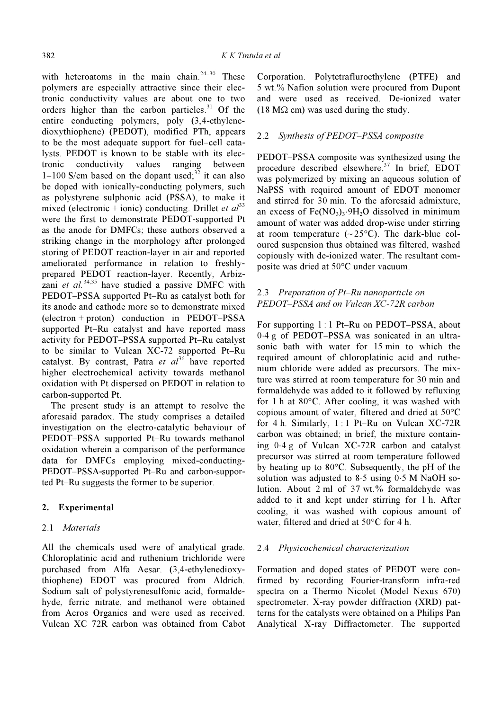with heteroatoms in the main chain.<sup>24–30</sup> These polymers are especially attractive since their electronic conductivity values are about one to two orders higher than the carbon particles. $31$  Of the entire conducting polymers, poly (3,4-ethylenedioxythiophene) (PEDOT), modified PTh, appears to be the most adequate support for fuel–cell catalysts. PEDOT is known to be stable with its electronic conductivity values ranging between 1–100 S/cm based on the dopant used; $32$  it can also be doped with ionically-conducting polymers, such as polystyrene sulphonic acid (PSSA), to make it mixed (electronic + ionic) conducting. Drillet *et al*<sup>33</sup> were the first to demonstrate PEDOT-supported Pt as the anode for DMFCs; these authors observed a striking change in the morphology after prolonged storing of PEDOT reaction-layer in air and reported ameliorated performance in relation to freshlyprepared PEDOT reaction-layer. Recently, Arbizzani et al.<sup>34,35</sup> have studied a passive DMFC with PEDOT–PSSA supported Pt–Ru as catalyst both for its anode and cathode more so to demonstrate mixed (electron + proton) conduction in PEDOT–PSSA supported Pt–Ru catalyst and have reported mass activity for PEDOT–PSSA supported Pt–Ru catalyst to be similar to Vulcan XC-72 supported Pt–Ru catalyst. By contrast, Patra et  $al^{36}$  have reported higher electrochemical activity towards methanol oxidation with Pt dispersed on PEDOT in relation to carbon-supported Pt.

 The present study is an attempt to resolve the aforesaid paradox. The study comprises a detailed investigation on the electro-catalytic behaviour of PEDOT–PSSA supported Pt–Ru towards methanol oxidation wherein a comparison of the performance data for DMFCs employing mixed-conducting-PEDOT–PSSA-supported Pt–Ru and carbon-supported Pt–Ru suggests the former to be superior.

### 2. Experimental

### 2.1 Materials

All the chemicals used were of analytical grade. Chloroplatinic acid and ruthenium trichloride were purchased from Alfa Aesar. (3,4-ethylenedioxythiophene) EDOT was procured from Aldrich. Sodium salt of polystyrenesulfonic acid, formaldehyde, ferric nitrate, and methanol were obtained from Acros Organics and were used as received. Vulcan XC 72R carbon was obtained from Cabot

Corporation. Polytetrafluroethylene (PTFE) and 5 wt.% Nafion solution were procured from Dupont and were used as received. De-ionized water (18 M $\Omega$  cm) was used during the study.

### 2.2 Synthesis of PEDOT-PSSA composite

PEDOT–PSSA composite was synthesized using the procedure described elsewhere.<sup>37</sup> In brief, EDOT was polymerized by mixing an aqueous solution of NaPSS with required amount of EDOT monomer and stirred for 30 min. To the aforesaid admixture, an excess of  $Fe(NO_3)_3.9H_2O$  dissolved in minimum amount of water was added drop-wise under stirring at room temperature  $({\sim}25^{\circ}C)$ . The dark-blue coloured suspension thus obtained was filtered, washed copiously with de-ionized water. The resultant composite was dried at 50°C under vacuum.

## 2.3 Preparation of Pt–Ru nanoparticle on PEDOT–PSSA and on Vulcan XC-72R carbon

For supporting 1 : 1 Pt–Ru on PEDOT–PSSA, about 0⋅4 g of PEDOT–PSSA was sonicated in an ultrasonic bath with water for 15 min to which the required amount of chloroplatinic acid and ruthenium chloride were added as precursors. The mixture was stirred at room temperature for 30 min and formaldehyde was added to it followed by refluxing for 1 h at 80°C. After cooling, it was washed with copious amount of water, filtered and dried at 50°C for 4 h. Similarly,  $1:1$  Pt–Ru on Vulcan XC-72R carbon was obtained; in brief, the mixture containing 0⋅4 g of Vulcan XC-72R carbon and catalyst precursor was stirred at room temperature followed by heating up to 80°C. Subsequently, the pH of the solution was adjusted to 8⋅5 using 0⋅5 M NaOH solution. About 2 ml of 37 wt.% formaldehyde was added to it and kept under stirring for 1 h. After cooling, it was washed with copious amount of water, filtered and dried at 50°C for 4 h.

### 2.4 Physicochemical characterization

Formation and doped states of PEDOT were confirmed by recording Fourier-transform infra-red spectra on a Thermo Nicolet (Model Nexus 670) spectrometer. X-ray powder diffraction (XRD) patterns for the catalysts were obtained on a Philips Pan Analytical X-ray Diffractometer. The supported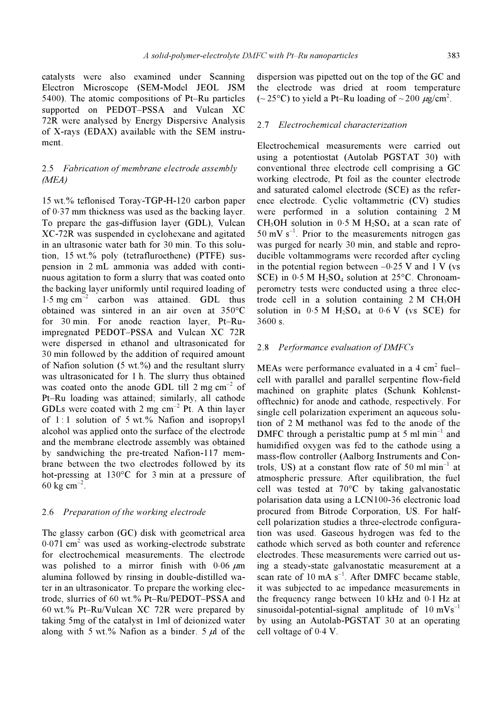catalysts were also examined under Scanning Electron Microscope (SEM-Model JEOL JSM 5400). The atomic compositions of Pt–Ru particles supported on PEDOT–PSSA and Vulcan XC 72R were analysed by Energy Dispersive Analysis of X-rays (EDAX) available with the SEM instrument.

## 2.5 Fabrication of membrane electrode assembly (MEA)

15 wt.% teflonised Toray-TGP-H-120 carbon paper of 0⋅37 mm thickness was used as the backing layer. To prepare the gas-diffusion layer (GDL), Vulcan XC-72R was suspended in cyclohexane and agitated in an ultrasonic water bath for 30 min. To this solution, 15 wt.% poly (tetrafluroethene) (PTFE) suspension in 2 mL ammonia was added with continuous agitation to form a slurry that was coated onto the backing layer uniformly until required loading of  $1.5 \text{ mg cm}^{-2}$  carbon was attained. GDL thus obtained was sintered in an air oven at 350°C for 30 min. For anode reaction layer, Pt–Ruimpregnated PEDOT–PSSA and Vulcan XC 72R were dispersed in ethanol and ultrasonicated for 30 min followed by the addition of required amount of Nafion solution  $(5 \text{ wt.})$ % and the resultant slurry was ultrasonicated for 1 h. The slurry thus obtained was coated onto the anode GDL till  $2 \text{ mg cm}^{-2}$  of Pt–Ru loading was attained; similarly, all cathode GDLs were coated with 2 mg  $cm^{-2}$  Pt. A thin layer of 1:1 solution of 5 wt.% Nafion and isopropyl alcohol was applied onto the surface of the electrode and the membrane electrode assembly was obtained by sandwiching the pre-treated Nafion-117 membrane between the two electrodes followed by its hot-pressing at 130°C for 3 min at a pressure of 60 kg  $cm^{-2}$ .

#### 2.6 Preparation of the working electrode

The glassy carbon (GC) disk with geometrical area  $0.071$  cm<sup>2</sup> was used as working-electrode substrate for electrochemical measurements. The electrode was polished to a mirror finish with  $0.06 \mu m$ alumina followed by rinsing in double-distilled water in an ultrasonicator. To prepare the working electrode, slurries of 60 wt.% Pt–Ru/PEDOT–PSSA and 60 wt.% Pt–Ru/Vulcan XC 72R were prepared by taking 5mg of the catalyst in 1ml of deionized water along with 5 wt.% Nafion as a binder. 5  $\mu$ l of the

dispersion was pipetted out on the top of the GC and the electrode was dried at room temperature (~25°C) to yield a Pt–Ru loading of ~200  $\mu$ g/cm<sup>2</sup>.

#### 2.7 Electrochemical characterization

Electrochemical measurements were carried out using a potentiostat (Autolab PGSTAT 30) with conventional three electrode cell comprising a GC working electrode, Pt foil as the counter electrode and saturated calomel electrode (SCE) as the reference electrode. Cyclic voltammetric (CV) studies were performed in a solution containing 2 M CH<sub>3</sub>OH solution in 0⋅5 M H<sub>2</sub>SO<sub>4</sub> at a scan rate of  $50 \text{ mV s}^{-1}$ . Prior to the measurements nitrogen gas was purged for nearly 30 min, and stable and reproducible voltammograms were recorded after cycling in the potential region between  $-0.25$  V and 1 V (vs SCE) in  $0.5$  M H<sub>2</sub>SO<sub>4</sub> solution at 25 $\degree$ C. Chronoamperometry tests were conducted using a three electrode cell in a solution containing  $2 M CH<sub>3</sub>OH$ solution in  $0.5 M H_2SO_4$  at  $0.6 V$  (vs SCE) for 3600 s.

#### 2.8 Performance evaluation of DMFCs

MEAs were performance evaluated in a  $4 \text{ cm}^2$  fuelcell with parallel and parallel serpentine flow-field machined on graphite plates (Schunk Kohlenstofftechnic) for anode and cathode, respectively. For single cell polarization experiment an aqueous solution of 2 M methanol was fed to the anode of the DMFC through a peristaltic pump at 5 ml  $min^{-1}$  and humidified oxygen was fed to the cathode using a mass-flow controller (Aalborg Instruments and Controls, US) at a constant flow rate of 50 ml  $min^{-1}$  at atmospheric pressure. After equilibration, the fuel cell was tested at 70°C by taking galvanostatic polarisation data using a LCN100-36 electronic load procured from Bitrode Corporation, US. For halfcell polarization studies a three-electrode configuration was used. Gaseous hydrogen was fed to the cathode which served as both counter and reference electrodes. These measurements were carried out using a steady-state galvanostatic measurement at a scan rate of 10 mA  $s^{-1}$ . After DMFC became stable, it was subjected to ac impedance measurements in the frequency range between 10 kHz and 0⋅1 Hz at sinusoidal-potential-signal amplitude of  $10 \text{ mVs}^{-1}$ by using an Autolab-PGSTAT 30 at an operating cell voltage of 0⋅4 V.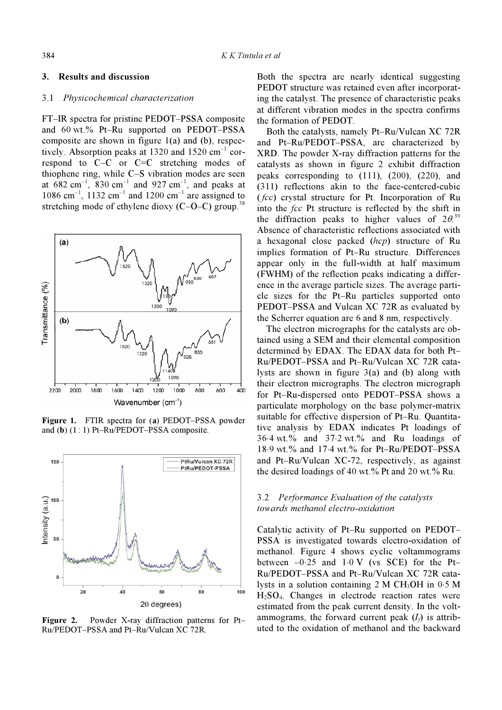#### 3. Results and discussion

### 3.1 Physicochemical characterization

FT–IR spectra for pristine PEDOT–PSSA composite and 60 wt.% Pt–Ru supported on PEDOT–PSSA composite are shown in figure 1(a) and (b), respectively. Absorption peaks at  $1320$  and  $1520$  cm<sup>-1</sup> correspond to C–C or C=C stretching modes of thiophene ring, while C–S vibration modes are seen at  $682 \text{ cm}^{-1}$ ,  $830 \text{ cm}^{-1}$  and  $927 \text{ cm}^{-1}$ , and peaks at  $1086$  cm<sup>-1</sup>, 1132 cm<sup>-1</sup> and 1200 cm<sup>-1</sup> are assigned to stretching mode of ethylene dioxy  $(C-O-C)$  group.<sup>38</sup>



Figure 1. FTIR spectra for (a) PEDOT–PSSA powder and (b) (1 : 1) Pt–Ru/PEDOT–PSSA composite.



Figure 2. Powder X-ray diffraction patterns for Pt– Ru/PEDOT–PSSA and Pt–Ru/Vulcan XC 72R.

Both the spectra are nearly identical suggesting PEDOT structure was retained even after incorporating the catalyst. The presence of characteristic peaks at different vibration modes in the spectra confirms the formation of PEDOT.

 Both the catalysts, namely Pt–Ru/Vulcan XC 72R and Pt–Ru/PEDOT–PSSA, are characterized by XRD. The powder X-ray diffraction patterns for the catalysts as shown in figure 2 exhibit diffraction peaks corresponding to (111), (200), (220), and (311) reflections akin to the face-centered-cubic  $(fcc)$  crystal structure for Pt. Incorporation of Ru into the fcc Pt structure is reflected by the shift in the diffraction peaks to higher values of  $2\theta$ <sup>39</sup> Absence of characteristic reflections associated with a hexagonal close packed (hcp) structure of Ru implies formation of Pt–Ru structure. Differences appear only in the full-width at half maximum (FWHM) of the reflection peaks indicating a difference in the average particle sizes. The average particle sizes for the Pt–Ru particles supported onto PEDOT–PSSA and Vulcan XC 72R as evaluated by the Scherrer equation are 6 and 8 nm, respectively.

 The electron micrographs for the catalysts are obtained using a SEM and their elemental composition determined by EDAX. The EDAX data for both Pt– Ru/PEDOT–PSSA and Pt–Ru/Vulcan XC 72R catalysts are shown in figure 3(a) and (b) along with their electron micrographs. The electron micrograph for Pt–Ru-dispersed onto PEDOT–PSSA shows a particulate morphology on the base polymer-matrix suitable for effective dispersion of Pt–Ru. Quantitative analysis by EDAX indicates Pt loadings of 36⋅4 wt.% and 37⋅2 wt.% and Ru loadings of 18⋅9 wt.% and 17⋅4 wt.% for Pt–Ru/PEDOT–PSSA and Pt–Ru/Vulcan XC-72, respectively, as against the desired loadings of 40 wt.% Pt and 20 wt.% Ru.

## 3.2 Performance Evaluation of the catalysts towards methanol electro-oxidation

Catalytic activity of Pt–Ru supported on PEDOT– PSSA is investigated towards electro-oxidation of methanol. Figure 4 shows cyclic voltammograms between  $-0.25$  and  $1.0 \text{ V}$  (vs SCE) for the Pt-Ru/PEDOT–PSSA and Pt–Ru/Vulcan XC 72R catalysts in a solution containing 2 M CH3OH in 0⋅5 M  $H<sub>2</sub>SO<sub>4</sub>$ . Changes in electrode reaction rates were estimated from the peak current density. In the voltammograms, the forward current peak  $(I<sub>d</sub>)$  is attributed to the oxidation of methanol and the backward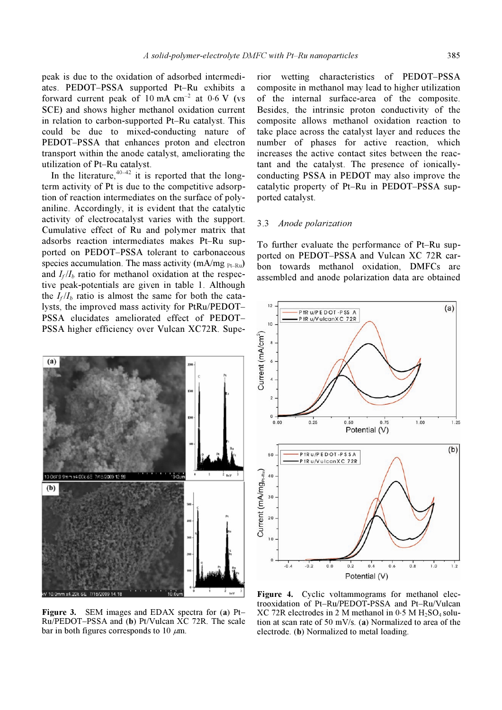peak is due to the oxidation of adsorbed intermediates. PEDOT–PSSA supported Pt–Ru exhibits a forward current peak of  $10 \text{ mA cm}^{-2}$  at  $0.6 \text{ V}$  (vs SCE) and shows higher methanol oxidation current in relation to carbon-supported Pt–Ru catalyst. This could be due to mixed-conducting nature of PEDOT–PSSA that enhances proton and electron transport within the anode catalyst, ameliorating the utilization of Pt–Ru catalyst.

In the literature,  $40-42$  it is reported that the longterm activity of Pt is due to the competitive adsorption of reaction intermediates on the surface of polyaniline. Accordingly, it is evident that the catalytic activity of electrocatalyst varies with the support. Cumulative effect of Ru and polymer matrix that adsorbs reaction intermediates makes Pt–Ru supported on PEDOT–PSSA tolerant to carbonaceous species accumulation. The mass activity (mA/mg  $_{Pt-Ru}$ ) and  $I_f/I_b$  ratio for methanol oxidation at the respective peak-potentials are given in table 1. Although the  $I_f/I_b$  ratio is almost the same for both the catalysts, the improved mass activity for PtRu/PEDOT– PSSA elucidates ameliorated effect of PEDOT– PSSA higher efficiency over Vulcan XC72R. Supe-



Figure 3. SEM images and EDAX spectra for (a) Pt-Ru/PEDOT–PSSA and (b) Pt/Vulcan XC 72R. The scale bar in both figures corresponds to 10  $\mu$ m.

rior wetting characteristics of PEDOT–PSSA composite in methanol may lead to higher utilization of the internal surface-area of the composite. Besides, the intrinsic proton conductivity of the composite allows methanol oxidation reaction to take place across the catalyst layer and reduces the number of phases for active reaction, which increases the active contact sites between the reactant and the catalyst. The presence of ionicallyconducting PSSA in PEDOT may also improve the catalytic property of Pt–Ru in PEDOT–PSSA supported catalyst.

## 3.3 Anode polarization

To further evaluate the performance of Pt–Ru supported on PEDOT–PSSA and Vulcan XC 72R carbon towards methanol oxidation, DMFCs are assembled and anode polarization data are obtained



Figure 4. Cyclic voltammograms for methanol electrooxidation of Pt–Ru/PEDOT-PSSA and Pt–Ru/Vulcan  $XC$  72R electrodes in 2 M methanol in 0⋅5 M H<sub>2</sub>SO<sub>4</sub> solution at scan rate of 50 mV/s. (a) Normalized to area of the electrode. (b) Normalized to metal loading.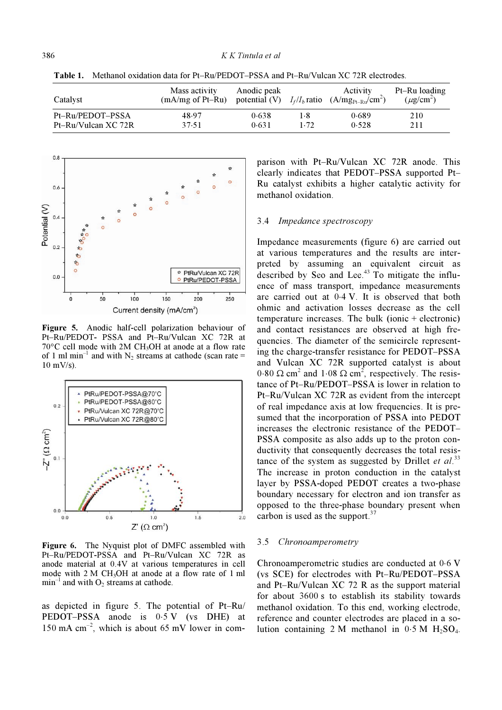| Catalyst            | Mass activity<br>$(mA/mg \text{ of Pt}-Ru)$ | Anodic peak<br>potential (V) $I_f/I_b$ ratio |      | Activity<br>$(A/mg_{Pt-Ru}/cm^2)$ | Pt-Ru loading<br>$(\mu$ g/cm <sup>2</sup> ) |
|---------------------|---------------------------------------------|----------------------------------------------|------|-----------------------------------|---------------------------------------------|
| Pt-Ru/PEDOT-PSSA    | 48.97                                       | 0.638                                        | l •8 | 0.689                             | 210                                         |
| Pt-Ru/Vulcan XC 72R | 37.51                                       | 0.631                                        | 1.72 | 0.528                             | 211                                         |

Table 1. Methanol oxidation data for Pt–Ru/PEDOT–PSSA and Pt–Ru/Vulcan XC 72R electrodes.



Figure 5. Anodic half-cell polarization behaviour of Pt–Ru/PEDOT- PSSA and Pt–Ru/Vulcan XC 72R at <sup>70</sup>°C cell mode with 2M CH3OH at anode at a flow rate of 1 ml min<sup>-1</sup> and with N<sub>2</sub> streams at cathode (scan rate = 10 mV/s).



Figure 6. The Nyquist plot of DMFC assembled with Pt–Ru/PEDOT-PSSA and Pt–Ru/Vulcan XC 72R as anode material at 0.4V at various temperatures in cell mode with  $2 M CH<sub>3</sub>OH$  at anode at a flow rate of 1 ml  $min^{-1}$  and with  $O_2$  streams at cathode.

as depicted in figure 5. The potential of Pt–Ru/ PEDOT–PSSA anode is  $0.5$  V (vs DHE) at 150 mA  $cm^{-2}$ , which is about 65 mV lower in comparison with Pt–Ru/Vulcan XC 72R anode. This clearly indicates that PEDOT–PSSA supported Pt– Ru catalyst exhibits a higher catalytic activity for methanol oxidation.

#### 3.4 Impedance spectroscopy

Impedance measurements (figure 6) are carried out at various temperatures and the results are interpreted by assuming an equivalent circuit as described by Seo and Lee.<sup>43</sup> To mitigate the influence of mass transport, impedance measurements are carried out at 0⋅4 V. It is observed that both ohmic and activation losses decrease as the cell temperature increases. The bulk (ionic + electronic) and contact resistances are observed at high frequencies. The diameter of the semicircle representing the charge-transfer resistance for PEDOT–PSSA and Vulcan XC 72R supported catalyst is about  $0.80 \Omega$  cm<sup>2</sup> and  $1.08 \Omega$  cm<sup>2</sup>, respectively. The resistance of Pt–Ru/PEDOT–PSSA is lower in relation to Pt–Ru/Vulcan XC 72R as evident from the intercept of real impedance axis at low frequencies. It is presumed that the incorporation of PSSA into PEDOT increases the electronic resistance of the PEDOT– PSSA composite as also adds up to the proton conductivity that consequently decreases the total resistance of the system as suggested by Drillet et  $al$ .<sup>33</sup> The increase in proton conduction in the catalyst layer by PSSA-doped PEDOT creates a two-phase boundary necessary for electron and ion transfer as opposed to the three-phase boundary present when carbon is used as the support. $37$ 

#### 3.5 Chronoamperometry

Chronoamperometric studies are conducted at 0⋅6 V (vs SCE) for electrodes with Pt–Ru/PEDOT–PSSA and Pt–Ru/Vulcan XC 72 R as the support material for about 3600 s to establish its stability towards methanol oxidation. To this end, working electrode, reference and counter electrodes are placed in a solution containing 2 M methanol in  $0.5 M H<sub>2</sub>SO<sub>4</sub>$ .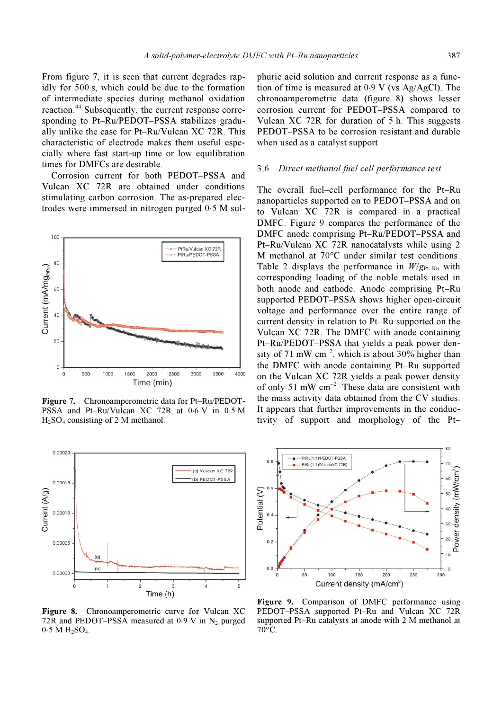From figure 7, it is seen that current degrades rapidly for 500 s, which could be due to the formation of intermediate species during methanol oxidation reaction.<sup>44</sup> Subsequently, the current response corresponding to Pt–Ru/PEDOT–PSSA stabilizes gradually unlike the case for Pt–Ru/Vulcan XC 72R. This characteristic of electrode makes them useful especially where fast start-up time or low equilibration times for DMFCs are desirable.

 Corrosion current for both PEDOT–PSSA and Vulcan XC 72R are obtained under conditions stimulating carbon corrosion. The as-prepared electrodes were immersed in nitrogen purged 0⋅5 M sul-



Figure 7. Chronoamperometric data for Pt–Ru/PEDOT-PSSA and Pt–Ru/Vulcan XC 72R at 0⋅6 V in 0⋅5 M H2SO4 consisting of 2 M methanol.



Figure 8. Chronoamperometric curve for Vulcan XC 72R and PEDOT–PSSA measured at 0⋅9 V in  $N_2$  purged 0⋅5 M H<sub>2</sub>SO<sub>4</sub>.

phuric acid solution and current response as a function of time is measured at 0⋅9 V (vs Ag/AgCl). The chronoamperometric data (figure 8) shows lesser corrosion current for PEDOT–PSSA compared to Vulcan XC 72R for duration of 5 h. This suggests PEDOT–PSSA to be corrosion resistant and durable when used as a catalyst support.

#### 3.6 Direct methanol fuel cell performance test

The overall fuel–cell performance for the Pt–Ru nanoparticles supported on to PEDOT–PSSA and on to Vulcan XC 72R is compared in a practical DMFC. Figure 9 compares the performance of the DMFC anode comprising Pt–Ru/PEDOT–PSSA and Pt–Ru/Vulcan XC 72R nanocatalysts while using 2 M methanol at 70°C under similar test conditions. Table 2 displays the performance in  $W/g_{Pt-Ru}$  with corresponding loading of the noble metals used in both anode and cathode. Anode comprising Pt–Ru supported PEDOT–PSSA shows higher open-circuit voltage and performance over the entire range of current density in relation to Pt–Ru supported on the Vulcan XC 72R. The DMFC with anode containing Pt–Ru/PEDOT–PSSA that yields a peak power density of 71 mW  $cm^{-2}$ , which is about 30% higher than the DMFC with anode containing Pt–Ru supported on the Vulcan XC 72R yields a peak power density of only 51 mW  $cm^{-2}$ . These data are consistent with the mass activity data obtained from the CV studies. It appears that further improvements in the conductivity of support and morphology of the Pt–



Figure 9. Comparison of DMFC performance using PEDOT–PSSA supported Pt–Ru and Vulcan XC 72R supported Pt–Ru catalysts at anode with 2 M methanol at 70°C.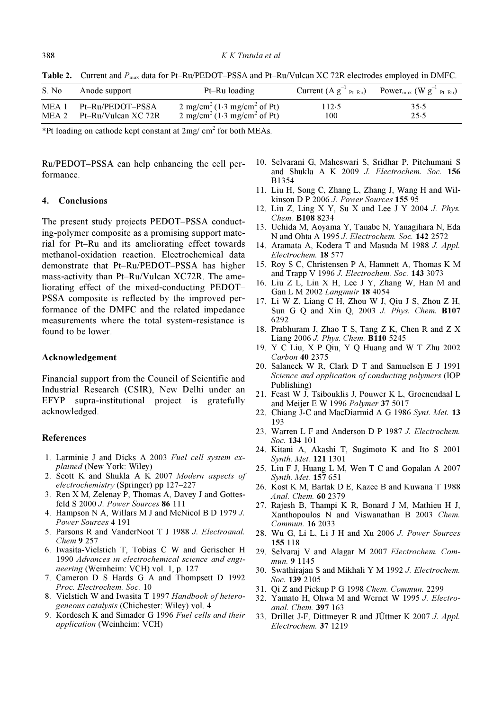Table 2. Current and  $P_{\text{max}}$  data for Pt–Ru/PEDOT–PSSA and Pt–Ru/Vulcan XC 72R electrodes employed in DMFC.

| S. No. | Anode support                                 | Pt-Ru loading                                                                                              | Current $(A g^{-1}_{Pt-Ru})$ | Power <sub>max</sub> (W $g^{-1}$ <sub>Pt-Ru</sub> ) |
|--------|-----------------------------------------------|------------------------------------------------------------------------------------------------------------|------------------------------|-----------------------------------------------------|
| MEA 1  | Pt-Ru/PEDOT-PSSA<br>MEA 2 Pt-Ru/Vulcan XC 72R | 2 mg/cm <sup>2</sup> (1.3 mg/cm <sup>2</sup> of Pt)<br>2 mg/cm <sup>2</sup> (1.3 mg/cm <sup>2</sup> of Pt) | 112.5<br>100                 | 35.5<br>25.5                                        |

\*Pt loading on cathode kept constant at  $2mg/cm<sup>2</sup>$  for both MEAs.

Ru/PEDOT–PSSA can help enhancing the cell performance.

#### 4. Conclusions

The present study projects PEDOT–PSSA conducting-polymer composite as a promising support material for Pt–Ru and its ameliorating effect towards methanol-oxidation reaction. Electrochemical data demonstrate that Pt–Ru/PEDOT–PSSA has higher mass-activity than Pt–Ru/Vulcan XC72R. The ameliorating effect of the mixed-conducting PEDOT– PSSA composite is reflected by the improved performance of the DMFC and the related impedance measurements where the total system-resistance is found to be lower.

#### Acknowledgement

Financial support from the Council of Scientific and Industrial Research (CSIR), New Delhi under an EFYP supra-institutional project is gratefully acknowledged.

#### References

- 1. Larminie J and Dicks A 2003 Fuel cell system explained (New York: Wiley)
- 2. Scott K and Shukla A K 2007 Modern aspects of electrochemistry (Springer) pp 127–227
- 3. Ren X M, Zelenay P, Thomas A, Davey J and Gottesfeld S 2000 J. Power Sources 86 111
- 4. Hampson N A, Willars M J and McNicol B D 1979 J. Power Sources 4 191
- 5. Parsons R and VanderNoot T J 1988 J. Electroanal. Chem 9 257
- 6. Iwasita-Vielstich T, Tobias C W and Gerischer H 1990 Advances in electrochemical science and engineering (Weinheim: VCH) vol. 1, p. 127
- 7. Cameron D S Hards G A and Thompsett D 1992 Proc. Electrochem. Soc. 10
- 8. Vielstich W and Iwasita T 1997 Handbook of heterogeneous catalysis (Chichester: Wiley) vol. 4
- 9. Kordesch K and Simader G 1996 Fuel cells and their application (Weinheim: VCH)
- 10. Selvarani G, Maheswari S, Sridhar P, Pitchumani S and Shukla A K 2009 J. Electrochem. Soc. 156 B1354
- 11. Liu H, Song C, Zhang L, Zhang J, Wang H and Wilkinson D P 2006 J. Power Sources 155 95
- 12. Liu Z, Ling X Y, Su X and Lee J Y 2004 J. Phys. Chem. B108 8234
- 13. Uchida M, Aoyama Y, Tanabe N, Yanagihara N, Eda N and Ohta A 1995 J. Electrochem. Soc. 142 2572
- 14. Aramata A, Kodera T and Masuda M 1988 J. Appl. Electrochem. 18 577
- 15. Roy S C, Christensen P A, Hamnett A, Thomas K M and Trapp V 1996 J. Electrochem. Soc. 143 3073
- 16. Liu Z L, Lin X H, Lee J Y, Zhang W, Han M and Gan L M 2002 Langmuir 18 4054
- 17. Li W Z, Liang C H, Zhou W J, Qiu J S, Zhou Z H, Sun G Q and Xin Q, 2003 J. Phys. Chem. **B107** 6292
- 18. Prabhuram J, Zhao T S, Tang Z K, Chen R and Z X Liang 2006 J. Phys. Chem. B110 5245
- 19. Y C Liu, X P Qiu, Y Q Huang and W T Zhu 2002 Carbon 40 2375
- 20. Salaneck W R, Clark D T and Samuelsen E J 1991 Science and application of conducting polymers (IOP Publishing)
- 21. Feast W J, Tsibouklis J, Pouwer K L, Groenendaal L and Meijer E W 1996 Polymer 37 5017
- 22. Chiang J-C and MacDiarmid A G 1986 Synt. Met. 13 193
- 23. Warren L F and Anderson D P 1987 J. Electrochem. Soc. 134 101
- 24. Kitani A, Akashi T, Sugimoto K and Ito S 2001 Synth. Met. 121 1301
- 25. Liu F J, Huang L M, Wen T C and Gopalan A 2007 Synth. Met. 157 651
- 26. Kost K M, Bartak D E, Kazee B and Kuwana T 1988 Anal. Chem. 60 2379
- 27. Rajesh B, Thampi K R, Bonard J M, Mathieu H J, Xanthopoulos N and Viswanathan B 2003 Chem. Commun. 16 2033
- 28. Wu G, Li L, Li J H and Xu 2006 J. Power Sources 155 118
- 29. Selvaraj V and Alagar M 2007 Electrochem. Commun. 9 1145
- 30. Swathirajan S and Mikhali Y M 1992 J. Electrochem. Soc. 139 2105
- 31. Qi Z and Pickup P G 1998 Chem. Commun. 2299
- 32. Yamato H, Ohwa M and Wernet W 1995 J. Electroanal. Chem. 397 163
- 33. Drillet J-F, Dittmeyer R and JÜttner K 2007 J. Appl. Electrochem. 37 1219